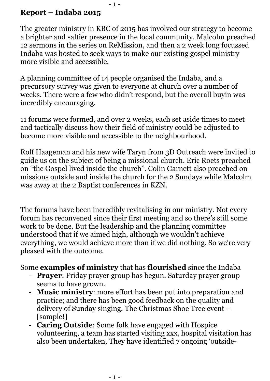## **Report – Indaba 2015**

The greater ministry in KBC of 2015 has involved our strategy to become a brighter and saltier presence in the local community. Malcolm preached 12 sermons in the series on ReMission, and then a 2 week long focussed Indaba was hosted to seek ways to make our existing gospel ministry more visible and accessible.

 $-1 -$ 

A planning committee of 14 people organised the Indaba, and a precursory survey was given to everyone at church over a number of weeks. There were a few who didn't respond, but the overall buyin was incredibly encouraging.

11 forums were formed, and over 2 weeks, each set aside times to meet and tactically discuss how their field of ministry could be adjusted to become more visible and accessible to the neighbourhood.

Rolf Haageman and his new wife Taryn from 3D Outreach were invited to guide us on the subject of being a missional church. Eric Roets preached on "the Gospel lived inside the church". Colin Garnett also preached on missions outside and inside the church for the 2 Sundays while Malcolm was away at the 2 Baptist conferences in KZN.

The forums have been incredibly revitalising in our ministry. Not every forum has reconvened since their first meeting and so there's still some work to be done. But the leadership and the planning committee understood that if we aimed high, although we wouldn't achieve everything, we would achieve more than if we did nothing. So we're very pleased with the outcome.

## Some **examples of ministry** that has **flourished** since the Indaba

- **Prayer**: Friday prayer group has begun. Saturday prayer group seems to have grown.
- **Music ministry**: more effort has been put into preparation and practice; and there has been good feedback on the quality and delivery of Sunday singing. The Christmas Shoe Tree event – [sample!]
- **Caring Outside**: Some folk have engaged with Hospice volunteering, a team has started visiting xxx, hospital visitation has also been undertaken, They have identified 7 ongoing 'outside-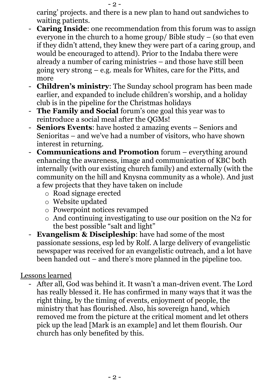caring' projects. and there is a new plan to hand out sandwiches to waiting patients.

- **Caring Inside**: one recommendation from this forum was to assign everyone in the church to a home group/ Bible study – (so that even if they didn't attend, they knew they were part of a caring group, and would be encouraged to attend). Prior to the Indaba there were already a number of caring ministries – and those have still been going very strong – e.g. meals for Whites, care for the Pitts, and more
- **Children's ministry**: The Sunday school program has been made earlier, and expanded to include children's worship, and a holiday club is in the pipeline for the Christmas holidays
- **The Family and Social** forum's one goal this year was to reintroduce a social meal after the QGMs!
- **Seniors Events**: have hosted 2 amazing events Seniors and Senioritas – and we've had a number of visitors, who have shown interest in returning.
- **Communications and Promotion** forum everything around enhancing the awareness, image and communication of KBC both internally (with our existing church family) and externally (with the community on the hill and Knysna community as a whole). And just a few projects that they have taken on include
	- o Road signage erected
	- o Website updated
	- o Powerpoint notices revamped
	- o And continuing investigating to use our position on the N2 for the best possible "salt and light"
- **Evangelism & Discipleship**: have had some of the most passionate sessions, esp led by Rolf. A large delivery of evangelistic newspaper was received for an evangelistic outreach, and a lot have been handed out – and there's more planned in the pipeline too.

## Lessons learned

- After all, God was behind it. It wasn't a man-driven event. The Lord has really blessed it. He has confirmed in many ways that it was the right thing, by the timing of events, enjoyment of people, the ministry that has flourished. Also, his sovereign hand, which removed me from the picture at the critical moment and let others pick up the lead [Mark is an example] and let them flourish. Our church has only benefited by this.